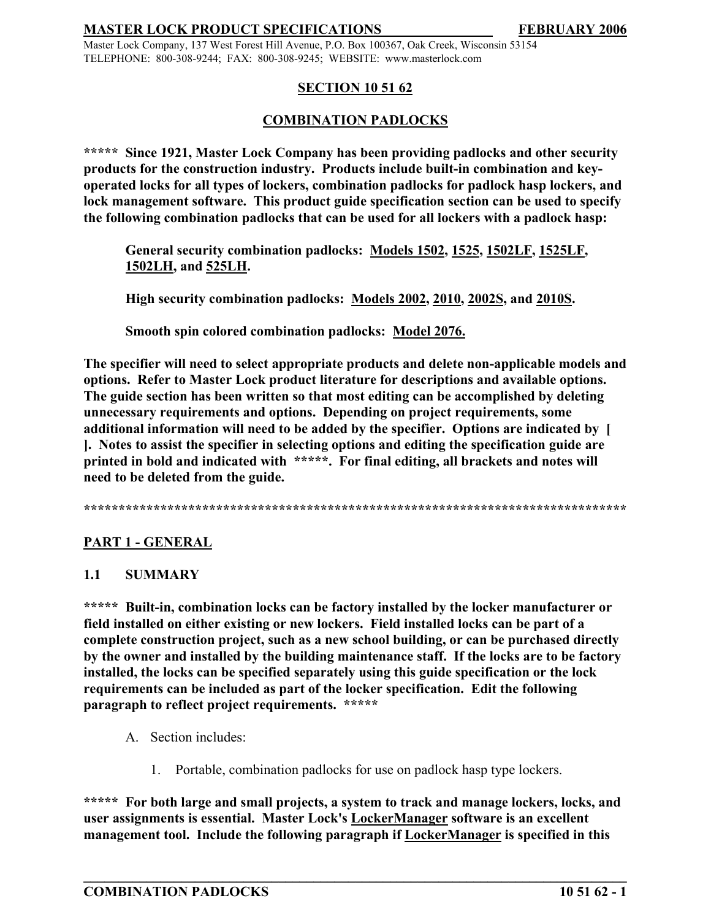Master Lock Company, 137 West Forest Hill Avenue, P.O. Box 100367, Oak Creek, Wisconsin 53154 TELEPHONE: 800-308-9244; FAX: 800-308-9245; WEBSITE: www.masterlock.com

## **SECTION 10 51 62**

## **COMBINATION PADLOCKS**

**\*\*\*\*\* Since 1921, Master Lock Company has been providing padlocks and other security products for the construction industry. Products include built-in combination and keyoperated locks for all types of lockers, combination padlocks for padlock hasp lockers, and lock management software. This product guide specification section can be used to specify the following combination padlocks that can be used for all lockers with a padlock hasp:**

**General security combination padlocks: Models 1502, 1525, 1502LF, 1525LF, 1502LH, and 525LH.**

**High security combination padlocks: Models 2002, 2010, 2002S, and 2010S.**

**Smooth spin colored combination padlocks: Model 2076.**

**The specifier will need to select appropriate products and delete non-applicable models and options. Refer to Master Lock product literature for descriptions and available options. The guide section has been written so that most editing can be accomplished by deleting unnecessary requirements and options. Depending on project requirements, some additional information will need to be added by the specifier. Options are indicated by [ ]. Notes to assist the specifier in selecting options and editing the specification guide are printed in bold and indicated with \*\*\*\*\*. For final editing, all brackets and notes will need to be deleted from the guide.** 

**\*\*\*\*\*\*\*\*\*\*\*\*\*\*\*\*\*\*\*\*\*\*\*\*\*\*\*\*\*\*\*\*\*\*\*\*\*\*\*\*\*\*\*\*\*\*\*\*\*\*\*\*\*\*\*\*\*\*\*\*\*\*\*\*\*\*\*\*\*\*\*\*\*\*\*\*\*\***

# **PART 1 - GENERAL**

# **1.1 SUMMARY**

**\*\*\*\*\* Built-in, combination locks can be factory installed by the locker manufacturer or field installed on either existing or new lockers. Field installed locks can be part of a complete construction project, such as a new school building, or can be purchased directly by the owner and installed by the building maintenance staff. If the locks are to be factory installed, the locks can be specified separately using this guide specification or the lock requirements can be included as part of the locker specification. Edit the following paragraph to reflect project requirements. \*\*\*\*\***

- A. Section includes:
	- 1. Portable, combination padlocks for use on padlock hasp type lockers.

**\*\*\*\*\* For both large and small projects, a system to track and manage lockers, locks, and user assignments is essential. Master Lock's LockerManager software is an excellent management tool. Include the following paragraph if LockerManager is specified in this**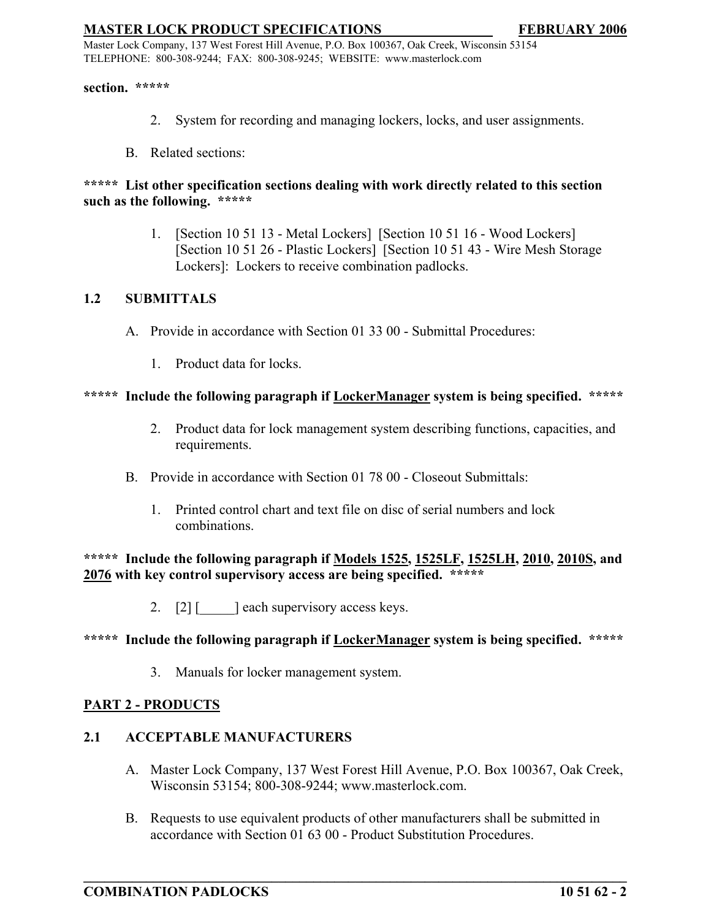Master Lock Company, 137 West Forest Hill Avenue, P.O. Box 100367, Oak Creek, Wisconsin 53154 TELEPHONE: 800-308-9244; FAX: 800-308-9245; WEBSITE: www.masterlock.com

**section. \*\*\*\*\***

- 2. System for recording and managing lockers, locks, and user assignments.
- B. Related sections:

### **\*\*\*\*\* List other specification sections dealing with work directly related to this section such as the following. \*\*\*\*\***

1. [Section 10 51 13 - Metal Lockers] [Section 10 51 16 - Wood Lockers] [Section 10 51 26 - Plastic Lockers] [Section 10 51 43 - Wire Mesh Storage Lockers]: Lockers to receive combination padlocks.

## **1.2 SUBMITTALS**

- A. Provide in accordance with Section 01 33 00 Submittal Procedures:
	- 1. Product data for locks.

### **\*\*\*\*\* Include the following paragraph if LockerManager system is being specified. \*\*\*\*\***

- 2. Product data for lock management system describing functions, capacities, and requirements.
- B. Provide in accordance with Section 01 78 00 Closeout Submittals:
	- 1. Printed control chart and text file on disc of serial numbers and lock combinations.

**\*\*\*\*\* Include the following paragraph if Models 1525, 1525LF, 1525LH, 2010, 2010S, and 2076 with key control supervisory access are being specified. \*\*\*\*\*** 

2. [2] [  $\Box$  ] each supervisory access keys.

### **\*\*\*\*\* Include the following paragraph if LockerManager system is being specified. \*\*\*\*\***

3. Manuals for locker management system.

### **PART 2 - PRODUCTS**

## **2.1 ACCEPTABLE MANUFACTURERS**

- A. Master Lock Company, 137 West Forest Hill Avenue, P.O. Box 100367, Oak Creek, Wisconsin 53154; 800-308-9244; www.masterlock.com.
- B. Requests to use equivalent products of other manufacturers shall be submitted in accordance with Section 01 63 00 - Product Substitution Procedures.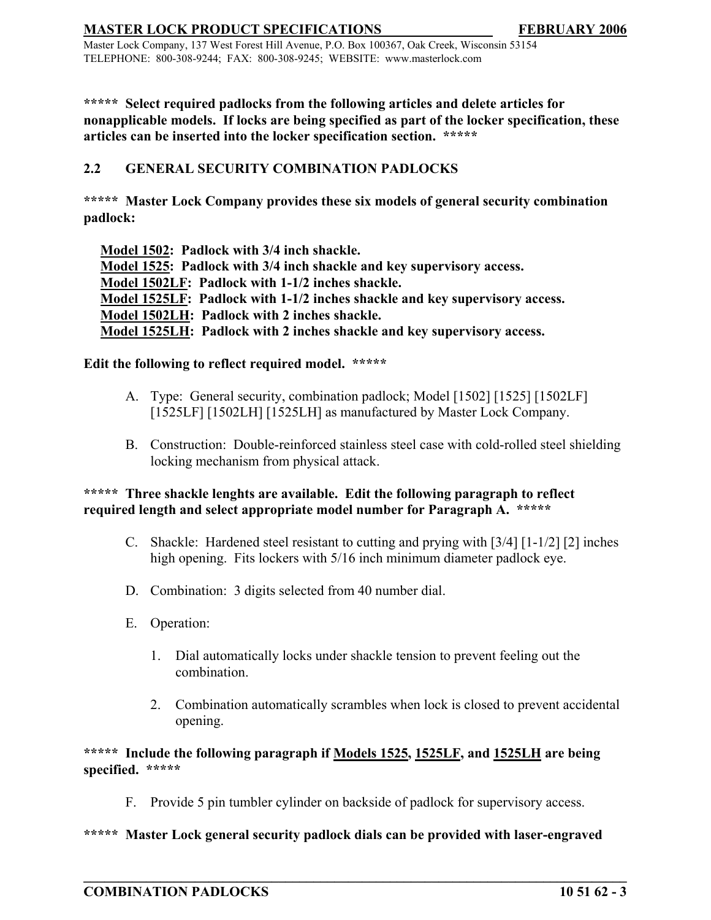Master Lock Company, 137 West Forest Hill Avenue, P.O. Box 100367, Oak Creek, Wisconsin 53154 TELEPHONE: 800-308-9244; FAX: 800-308-9245; WEBSITE: www.masterlock.com

**\*\*\*\*\* Select required padlocks from the following articles and delete articles for nonapplicable models. If locks are being specified as part of the locker specification, these articles can be inserted into the locker specification section. \*\*\*\*\***

# **2.2 GENERAL SECURITY COMBINATION PADLOCKS**

**\*\*\*\*\* Master Lock Company provides these six models of general security combination padlock:**

**Model 1502: Padlock with 3/4 inch shackle. Model 1525: Padlock with 3/4 inch shackle and key supervisory access. Model 1502LF: Padlock with 1-1/2 inches shackle. Model 1525LF: Padlock with 1-1/2 inches shackle and key supervisory access. Model 1502LH: Padlock with 2 inches shackle. Model 1525LH: Padlock with 2 inches shackle and key supervisory access.**

## **Edit the following to reflect required model. \*\*\*\*\***

- A. Type: General security, combination padlock; Model [1502] [1525] [1502LF] [1525LF] [1502LH] [1525LH] as manufactured by Master Lock Company.
- B. Construction: Double-reinforced stainless steel case with cold-rolled steel shielding locking mechanism from physical attack.

## **\*\*\*\*\* Three shackle lenghts are available. Edit the following paragraph to reflect required length and select appropriate model number for Paragraph A. \*\*\*\*\***

- C. Shackle: Hardened steel resistant to cutting and prying with [3/4] [1-1/2] [2] inches high opening. Fits lockers with 5/16 inch minimum diameter padlock eye.
- D. Combination: 3 digits selected from 40 number dial.
- E. Operation:
	- 1. Dial automatically locks under shackle tension to prevent feeling out the combination.
	- 2. Combination automatically scrambles when lock is closed to prevent accidental opening.

**\*\*\*\*\* Include the following paragraph if Models 1525, 1525LF, and 1525LH are being specified. \*\*\*\*\*** 

F. Provide 5 pin tumbler cylinder on backside of padlock for supervisory access.

**\_\_\_\_\_\_\_\_\_\_\_\_\_\_\_\_\_\_\_\_\_\_\_\_\_\_\_\_\_\_\_\_\_\_\_\_\_\_\_\_\_\_\_\_\_\_\_\_\_\_\_\_\_\_\_\_\_\_\_\_\_\_\_\_\_\_\_\_\_\_\_\_\_\_\_\_\_\_**

### **\*\*\*\*\* Master Lock general security padlock dials can be provided with laser-engraved**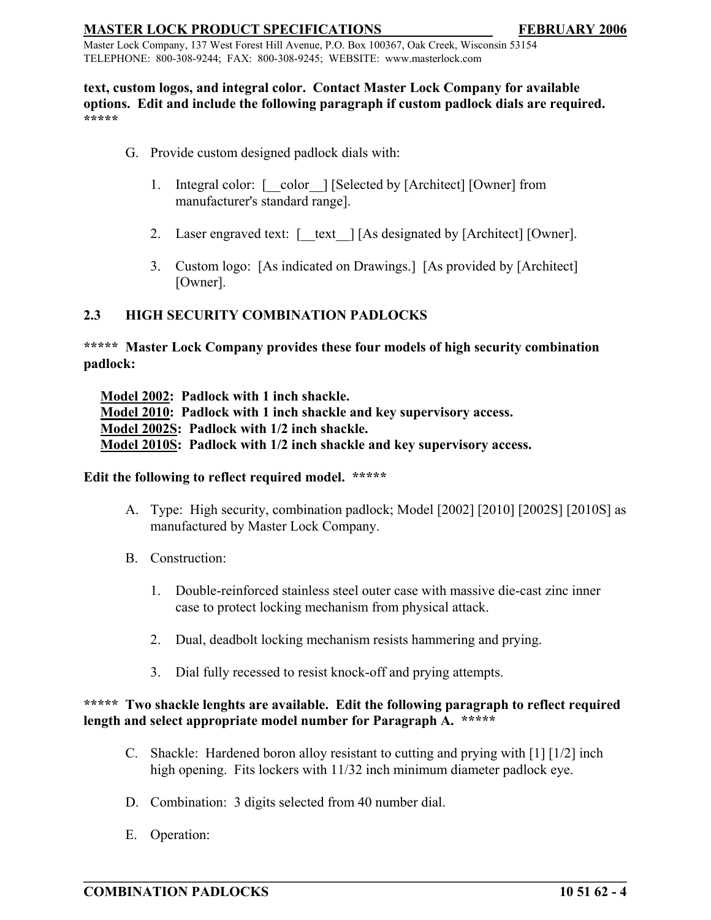Master Lock Company, 137 West Forest Hill Avenue, P.O. Box 100367, Oak Creek, Wisconsin 53154 TELEPHONE: 800-308-9244; FAX: 800-308-9245; WEBSITE: www.masterlock.com

#### **text, custom logos, and integral color. Contact Master Lock Company for available options. Edit and include the following paragraph if custom padlock dials are required. \*\*\*\*\***

- G. Provide custom designed padlock dials with:
	- 1. Integral color:  $\lceil \cdot \text{color} \rceil$  [Selected by [Architect] [Owner] from manufacturer's standard range].
	- 2. Laser engraved text:  $\lceil \quad \text{text} \quad \rceil$  [As designated by [Architect] [Owner].
	- 3. Custom logo: [As indicated on Drawings.] [As provided by [Architect] [Owner].

### **2.3 HIGH SECURITY COMBINATION PADLOCKS**

**\*\*\*\*\* Master Lock Company provides these four models of high security combination padlock:**

**Model 2002: Padlock with 1 inch shackle. Model 2010: Padlock with 1 inch shackle and key supervisory access. Model 2002S: Padlock with 1/2 inch shackle. Model 2010S: Padlock with 1/2 inch shackle and key supervisory access.**

### **Edit the following to reflect required model. \*\*\*\*\***

- A. Type: High security, combination padlock; Model [2002] [2010] [2002S] [2010S] as manufactured by Master Lock Company.
- B. Construction:
	- 1. Double-reinforced stainless steel outer case with massive die-cast zinc inner case to protect locking mechanism from physical attack.
	- 2. Dual, deadbolt locking mechanism resists hammering and prying.
	- 3. Dial fully recessed to resist knock-off and prying attempts.

# **\*\*\*\*\* Two shackle lenghts are available. Edit the following paragraph to reflect required length and select appropriate model number for Paragraph A. \*\*\*\*\***

C. Shackle: Hardened boron alloy resistant to cutting and prying with [1] [1/2] inch high opening. Fits lockers with 11/32 inch minimum diameter padlock eye.

- D. Combination: 3 digits selected from 40 number dial.
- E. Operation: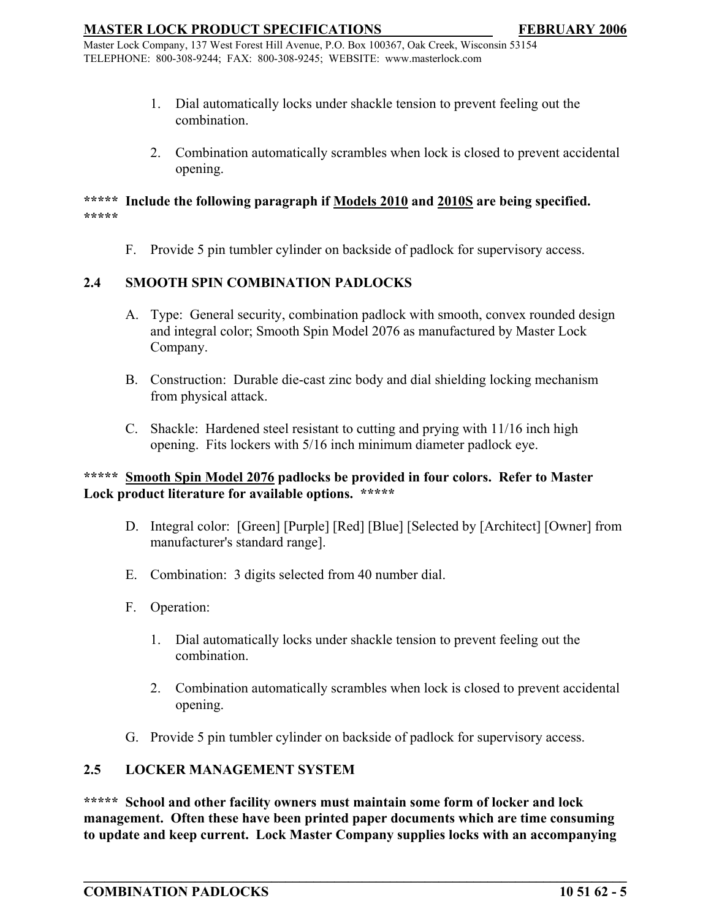Master Lock Company, 137 West Forest Hill Avenue, P.O. Box 100367, Oak Creek, Wisconsin 53154 TELEPHONE: 800-308-9244; FAX: 800-308-9245; WEBSITE: www.masterlock.com

- 1. Dial automatically locks under shackle tension to prevent feeling out the combination.
- 2. Combination automatically scrambles when lock is closed to prevent accidental opening.

#### **\*\*\*\*\* Include the following paragraph if Models 2010 and 2010S are being specified. \*\*\*\*\***

F. Provide 5 pin tumbler cylinder on backside of padlock for supervisory access.

## **2.4 SMOOTH SPIN COMBINATION PADLOCKS**

- A. Type: General security, combination padlock with smooth, convex rounded design and integral color; Smooth Spin Model 2076 as manufactured by Master Lock Company.
- B. Construction: Durable die-cast zinc body and dial shielding locking mechanism from physical attack.
- C. Shackle: Hardened steel resistant to cutting and prying with 11/16 inch high opening. Fits lockers with 5/16 inch minimum diameter padlock eye.

## **\*\*\*\*\* Smooth Spin Model 2076 padlocks be provided in four colors. Refer to Master Lock product literature for available options. \*\*\*\*\***

- D. Integral color: [Green] [Purple] [Red] [Blue] [Selected by [Architect] [Owner] from manufacturer's standard range].
- E. Combination: 3 digits selected from 40 number dial.
- F. Operation:
	- 1. Dial automatically locks under shackle tension to prevent feeling out the combination.
	- 2. Combination automatically scrambles when lock is closed to prevent accidental opening.
- G. Provide 5 pin tumbler cylinder on backside of padlock for supervisory access.

## **2.5 LOCKER MANAGEMENT SYSTEM**

**\*\*\*\*\* School and other facility owners must maintain some form of locker and lock management. Often these have been printed paper documents which are time consuming to update and keep current. Lock Master Company supplies locks with an accompanying**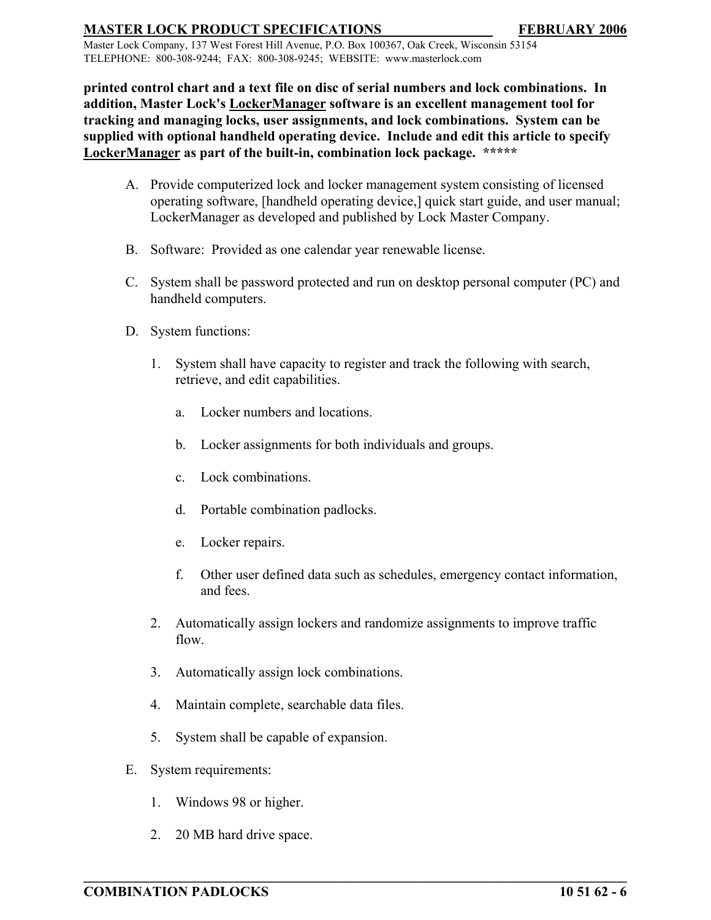Master Lock Company, 137 West Forest Hill Avenue, P.O. Box 100367, Oak Creek, Wisconsin 53154 TELEPHONE: 800-308-9244; FAX: 800-308-9245; WEBSITE: www.masterlock.com

**printed control chart and a text file on disc of serial numbers and lock combinations. In addition, Master Lock's LockerManager software is an excellent management tool for tracking and managing locks, user assignments, and lock combinations. System can be supplied with optional handheld operating device. Include and edit this article to specify LockerManager as part of the built-in, combination lock package. \*\*\*\*\*** 

- A. Provide computerized lock and locker management system consisting of licensed operating software, [handheld operating device,] quick start guide, and user manual; LockerManager as developed and published by Lock Master Company.
- B. Software: Provided as one calendar year renewable license.
- C. System shall be password protected and run on desktop personal computer (PC) and handheld computers.
- D. System functions:
	- 1. System shall have capacity to register and track the following with search, retrieve, and edit capabilities.
		- a. Locker numbers and locations.
		- b. Locker assignments for both individuals and groups.
		- c. Lock combinations.
		- d. Portable combination padlocks.
		- e. Locker repairs.
		- f. Other user defined data such as schedules, emergency contact information, and fees.
	- 2. Automatically assign lockers and randomize assignments to improve traffic flow.

- 3. Automatically assign lock combinations.
- 4. Maintain complete, searchable data files.
- 5. System shall be capable of expansion.
- E. System requirements:
	- 1. Windows 98 or higher.
	- 2. 20 MB hard drive space.